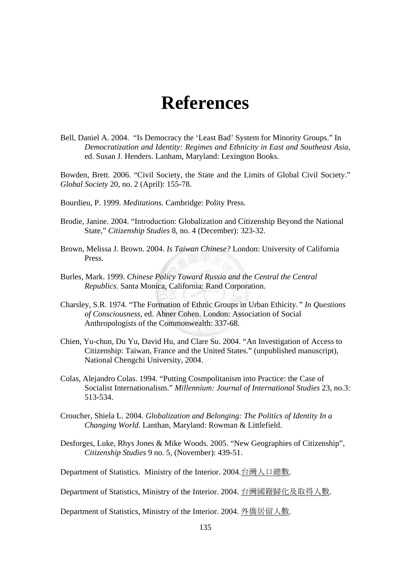## **References**

Bell, Daniel A. 2004. "Is Democracy the 'Least Bad' System for Minority Groups." In *Democratization and Identity: Regimes and Ethnicity in East and Southeast Asia*, ed. Susan J. Henders. Lanham, Maryland: Lexington Books.

Bowden, Brett. 2006. "Civil Society, the State and the Limits of Global Civil Society." *Global Society* 20, no. 2 (April): 155-78.

- Bourdieu, P. 1999. *Meditations.* Cambridge: Polity Press.
- Brodie, Janine. 2004. "Introduction: Globalization and Citizenship Beyond the National State," *Citizenship Studies* 8, no. 4 (December): 323-32.
- Brown, Melissa J. Brown. 2004. *Is Taiwan Chinese?* London: University of California Press.
- Burles, Mark. 1999. *Chinese Policy Toward Russia and the Central the Central Republics*. Santa Monica, California: Rand Corporation.
- Charsley, S.R. 1974. "The Formation of Ethnic Groups in Urban Ethicity*." In Questions of Consciousness*, ed. Abner Cohen. London: Association of Social Anthropologists of the Commonwealth: 337-68.
- Chien, Yu-chun, Du Yu, David Hu, and Clare Su. 2004. "An Investigation of Access to Citizenship: Taiwan, France and the United States." (unpublished manuscript), National Chengchi University, 2004.
- Colas, Alejandro Colas. 1994. "Putting Cosmpolitanism into Practice: the Case of Socialist Internationalism." *Millennium: Journal of International Studies* 23, no.3: 513-534.
- Croucher, Shiela L. 2004. *Globalization and Belonging: The Politics of Identity In a Changing World*. Lanthan, Maryland: Rowman & Littlefield.
- Desforges, Luke, Rhys Jones & Mike Woods. 2005. "New Geographies of Citizenship", *Citizenship Studies* 9 no. 5, (November): 439-51.

Department of Statistics. Ministry of the Interior. 2004.台灣人口總數.

Department of Statistics, Ministry of the Interior. 2004. 台灣國籍歸化及取得人數.

Department of Statistics, Ministry of the Interior. 2004. 外僑居留人數.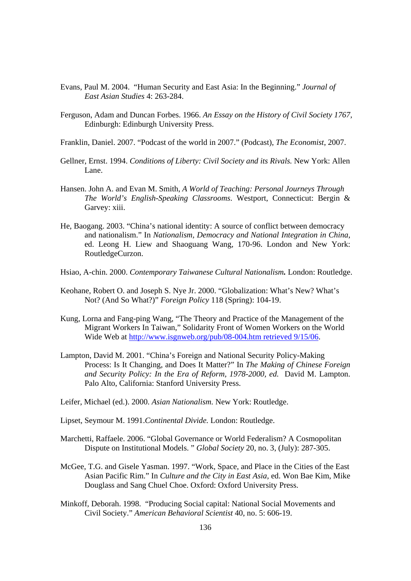- Evans, Paul M. 2004. "Human Security and East Asia: In the Beginning." *Journal of East Asian Studies* 4: 263-284.
- Ferguson, Adam and Duncan Forbes. 1966. *An Essay on the History of Civil Society 1767,* Edinburgh: Edinburgh University Press.
- Franklin, Daniel. 2007. "Podcast of the world in 2007." (Podcast), *The Economist*, 2007.
- Gellner, Ernst. 1994. *Conditions of Liberty: Civil Society and its Rivals.* New York: Allen Lane.
- Hansen. John A. and Evan M. Smith, *A World of Teaching: Personal Journeys Through The World's English-Speaking Classrooms*. Westport, Connecticut: Bergin & Garvey: xiii.
- He, Baogang. 2003. "China's national identity: A source of conflict between democracy and nationalism." In *Nationalism, Democracy and National Integration in China*, ed. Leong H. Liew and Shaoguang Wang, 170-96. London and New York: RoutledgeCurzon.
- Hsiao, A-chin. 2000. *Contemporary Taiwanese Cultural Nationalism.* London: Routledge.
- Keohane, Robert O. and Joseph S. Nye Jr. 2000. "Globalization: What's New? What's Not? (And So What?)" *Foreign Policy* 118 (Spring): 104-19.
- Kung, Lorna and Fang-ping Wang, "The Theory and Practice of the Management of the Migrant Workers In Taiwan," Solidarity Front of Women Workers on the World Wide Web at http://www.isgnweb.org/pub/08-004.htm retrieved 9/15/06.
- Lampton, David M. 2001. "China's Foreign and National Security Policy-Making Process: Is It Changing, and Does It Matter?" In *The Making of Chinese Foreign and Security Policy: In the Era of Reform, 1978-2000, ed.* David M. Lampton. Palo Alto, California: Stanford University Press.
- Leifer, Michael (ed.). 2000. *Asian Nationalism.* New York: Routledge.
- Lipset, Seymour M. 1991.*Continental Divide.* London: Routledge.
- Marchetti, Raffaele. 2006. "Global Governance or World Federalism? A Cosmopolitan Dispute on Institutional Models. " *Global Society* 20, no. 3, (July): 287-305.
- McGee, T.G. and Gisele Yasman. 1997. "Work, Space, and Place in the Cities of the East Asian Pacific Rim." In *Culture and the City in East Asia,* ed. Won Bae Kim, Mike Douglass and Sang Chuel Choe. Oxford: Oxford University Press.
- Minkoff, Deborah. 1998. "Producing Social capital: National Social Movements and Civil Society." *American Behavioral Scientist* 40, no. 5: 606-19.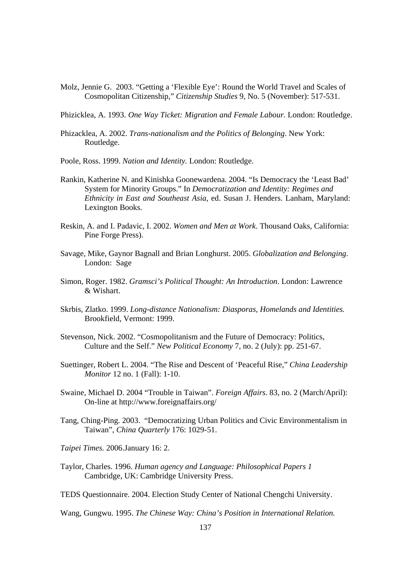Molz, Jennie G. 2003. "Getting a 'Flexible Eye': Round the World Travel and Scales of Cosmopolitan Citizenship," *Citizenship Studies* 9, No. 5 (November): 517-531.

Phizicklea, A. 1993. *One Way Ticket: Migration and Female Labour.* London: Routledge.

- Phizacklea, A. 2002. *Trans-nationalism and the Politics of Belonging*. New York: Routledge.
- Poole, Ross. 1999. *Nation and Identity.* London: Routledge.
- Rankin, Katherine N. and Kinishka Goonewardena. 2004. "Is Democracy the 'Least Bad' System for Minority Groups." In *Democratization and Identity: Regimes and Ethnicity in East and Southeast Asia*, ed. Susan J. Henders. Lanham, Maryland: Lexington Books.
- Reskin, A. and I. Padavic, I. 2002. *Women and Men at Work*. Thousand Oaks, California: Pine Forge Press).
- Savage, Mike, Gaynor Bagnall and Brian Longhurst. 2005. *Globalization and Belonging.*  London: Sage
- Simon, Roger. 1982. *Gramsci's Political Thought: An Introduction*. London: Lawrence & Wishart.
- Skrbis, Zlatko. 1999. *Long-distance Nationalism: Diasporas, Homelands and Identities.*  Brookfield, Vermont: 1999.
- Stevenson, Nick. 2002. "Cosmopolitanism and the Future of Democracy: Politics, Culture and the Self." *New Political Economy* 7, no. 2 (July): pp. 251-67.
- Suettinger, Robert L. 2004. "The Rise and Descent of 'Peaceful Rise," *China Leadership Monitor* 12 no. 1 (Fall): 1-10.
- Swaine, Michael D. 2004 "Trouble in Taiwan". *Foreign Affairs.* 83, no. 2 (March/April): On-line at http://www.foreignaffairs.org/
- Tang, Ching-Ping. 2003. "Democratizing Urban Politics and Civic Environmentalism in Taiwan", *China Quarterly* 176: 1029-51.
- *Taipei Times.* 2006.January 16: 2.
- Taylor, Charles. 1996. *Human agency and Language: Philosophical Papers 1* Cambridge, UK: Cambridge University Press.
- TEDS Questionnaire. 2004. Election Study Center of National Chengchi University.

Wang, Gungwu. 1995. *The Chinese Way: China's Position in International Relation.*